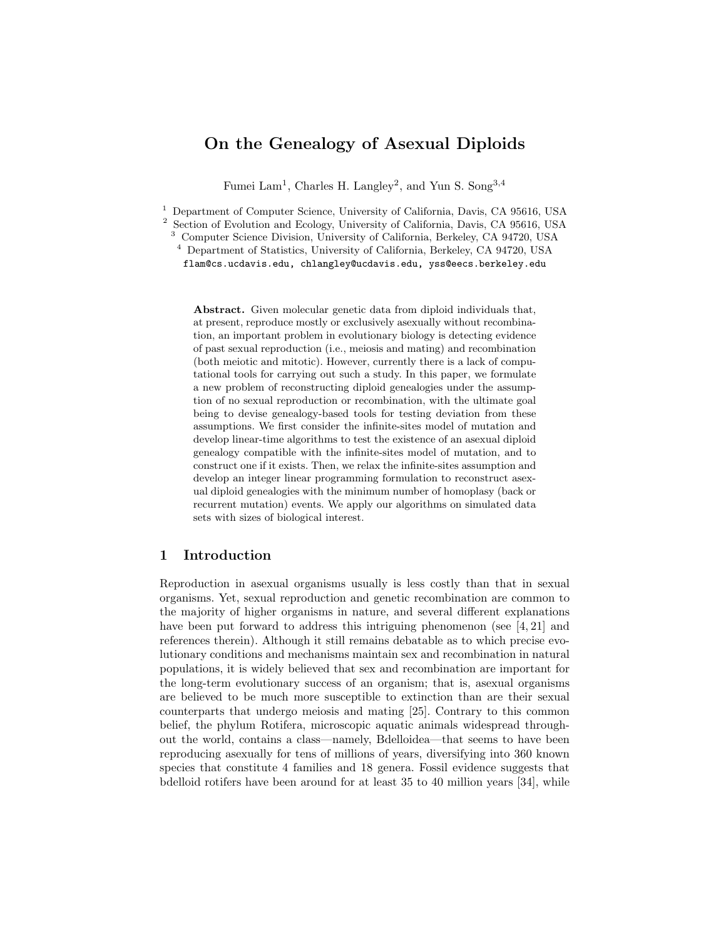# On the Genealogy of Asexual Diploids

Fumei Lam<sup>1</sup>, Charles H. Langley<sup>2</sup>, and Yun S. Song<sup>3,4</sup>

<sup>1</sup> Department of Computer Science, University of California, Davis, CA 95616, USA

<sup>2</sup> Section of Evolution and Ecology, University of California, Davis, CA 95616, USA

<sup>3</sup> Computer Science Division, University of California, Berkeley, CA 94720, USA

<sup>4</sup> Department of Statistics, University of California, Berkeley, CA 94720, USA flam@cs.ucdavis.edu, chlangley@ucdavis.edu, yss@eecs.berkeley.edu

Abstract. Given molecular genetic data from diploid individuals that, at present, reproduce mostly or exclusively asexually without recombination, an important problem in evolutionary biology is detecting evidence of past sexual reproduction (i.e., meiosis and mating) and recombination (both meiotic and mitotic). However, currently there is a lack of computational tools for carrying out such a study. In this paper, we formulate a new problem of reconstructing diploid genealogies under the assumption of no sexual reproduction or recombination, with the ultimate goal being to devise genealogy-based tools for testing deviation from these assumptions. We first consider the infinite-sites model of mutation and develop linear-time algorithms to test the existence of an asexual diploid genealogy compatible with the infinite-sites model of mutation, and to construct one if it exists. Then, we relax the infinite-sites assumption and develop an integer linear programming formulation to reconstruct asexual diploid genealogies with the minimum number of homoplasy (back or recurrent mutation) events. We apply our algorithms on simulated data sets with sizes of biological interest.

### 1 Introduction

Reproduction in asexual organisms usually is less costly than that in sexual organisms. Yet, sexual reproduction and genetic recombination are common to the majority of higher organisms in nature, and several different explanations have been put forward to address this intriguing phenomenon (see [4, 21] and references therein). Although it still remains debatable as to which precise evolutionary conditions and mechanisms maintain sex and recombination in natural populations, it is widely believed that sex and recombination are important for the long-term evolutionary success of an organism; that is, asexual organisms are believed to be much more susceptible to extinction than are their sexual counterparts that undergo meiosis and mating [25]. Contrary to this common belief, the phylum Rotifera, microscopic aquatic animals widespread throughout the world, contains a class—namely, Bdelloidea—that seems to have been reproducing asexually for tens of millions of years, diversifying into 360 known species that constitute 4 families and 18 genera. Fossil evidence suggests that bdelloid rotifers have been around for at least 35 to 40 million years [34], while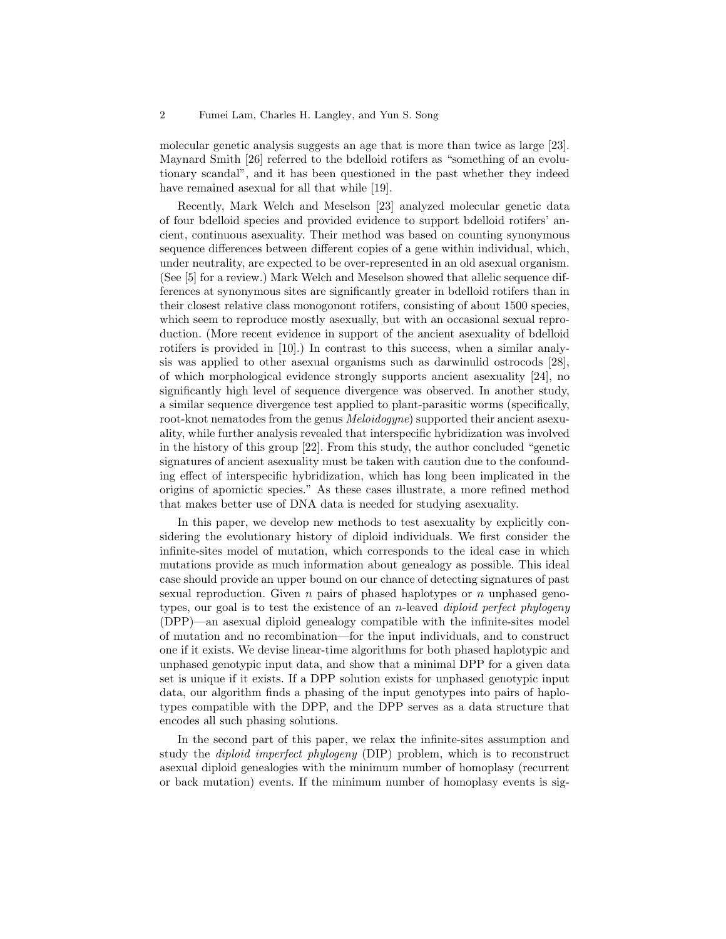molecular genetic analysis suggests an age that is more than twice as large [23]. Maynard Smith [26] referred to the bdelloid rotifers as "something of an evolutionary scandal", and it has been questioned in the past whether they indeed have remained asexual for all that while [19].

Recently, Mark Welch and Meselson [23] analyzed molecular genetic data of four bdelloid species and provided evidence to support bdelloid rotifers' ancient, continuous asexuality. Their method was based on counting synonymous sequence differences between different copies of a gene within individual, which, under neutrality, are expected to be over-represented in an old asexual organism. (See [5] for a review.) Mark Welch and Meselson showed that allelic sequence differences at synonymous sites are significantly greater in bdelloid rotifers than in their closest relative class monogonont rotifers, consisting of about 1500 species, which seem to reproduce mostly as exually, but with an occasional sexual reproduction. (More recent evidence in support of the ancient asexuality of bdelloid rotifers is provided in [10].) In contrast to this success, when a similar analysis was applied to other asexual organisms such as darwinulid ostrocods [28], of which morphological evidence strongly supports ancient asexuality [24], no significantly high level of sequence divergence was observed. In another study, a similar sequence divergence test applied to plant-parasitic worms (specifically, root-knot nematodes from the genus *Meloidogyne*) supported their ancient asexuality, while further analysis revealed that interspecific hybridization was involved in the history of this group [22]. From this study, the author concluded "genetic signatures of ancient asexuality must be taken with caution due to the confounding effect of interspecific hybridization, which has long been implicated in the origins of apomictic species." As these cases illustrate, a more refined method that makes better use of DNA data is needed for studying asexuality.

In this paper, we develop new methods to test asexuality by explicitly considering the evolutionary history of diploid individuals. We first consider the infinite-sites model of mutation, which corresponds to the ideal case in which mutations provide as much information about genealogy as possible. This ideal case should provide an upper bound on our chance of detecting signatures of past sexual reproduction. Given  $n$  pairs of phased haplotypes or  $n$  unphased genotypes, our goal is to test the existence of an *n*-leaved *diploid perfect phylogeny* (DPP)—an asexual diploid genealogy compatible with the infinite-sites model of mutation and no recombination—for the input individuals, and to construct one if it exists. We devise linear-time algorithms for both phased haplotypic and unphased genotypic input data, and show that a minimal DPP for a given data set is unique if it exists. If a DPP solution exists for unphased genotypic input data, our algorithm finds a phasing of the input genotypes into pairs of haplotypes compatible with the DPP, and the DPP serves as a data structure that encodes all such phasing solutions.

In the second part of this paper, we relax the infinite-sites assumption and study the diploid imperfect phylogeny (DIP) problem, which is to reconstruct asexual diploid genealogies with the minimum number of homoplasy (recurrent or back mutation) events. If the minimum number of homoplasy events is sig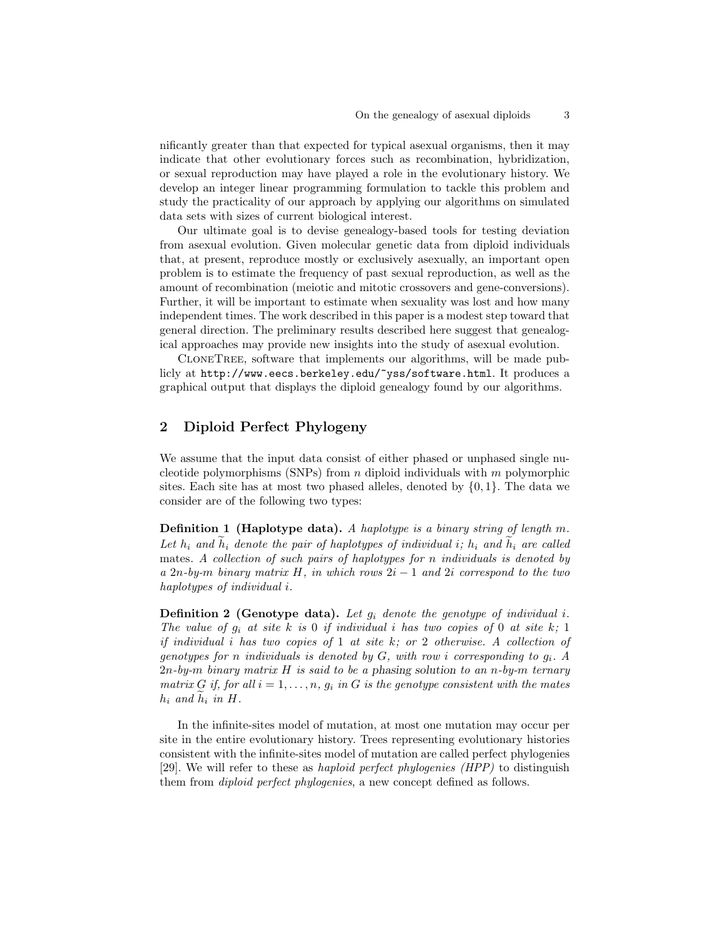nificantly greater than that expected for typical asexual organisms, then it may indicate that other evolutionary forces such as recombination, hybridization, or sexual reproduction may have played a role in the evolutionary history. We develop an integer linear programming formulation to tackle this problem and study the practicality of our approach by applying our algorithms on simulated data sets with sizes of current biological interest.

Our ultimate goal is to devise genealogy-based tools for testing deviation from asexual evolution. Given molecular genetic data from diploid individuals that, at present, reproduce mostly or exclusively asexually, an important open problem is to estimate the frequency of past sexual reproduction, as well as the amount of recombination (meiotic and mitotic crossovers and gene-conversions). Further, it will be important to estimate when sexuality was lost and how many independent times. The work described in this paper is a modest step toward that general direction. The preliminary results described here suggest that genealogical approaches may provide new insights into the study of asexual evolution.

CloneTree, software that implements our algorithms, will be made publicly at http://www.eecs.berkeley.edu/~yss/software.html. It produces a graphical output that displays the diploid genealogy found by our algorithms.

# 2 Diploid Perfect Phylogeny

We assume that the input data consist of either phased or unphased single nucleotide polymorphisms (SNPs) from n diploid individuals with  $m$  polymorphic sites. Each site has at most two phased alleles, denoted by  $\{0, 1\}$ . The data we consider are of the following two types:

Definition 1 (Haplotype data). A haplotype is a binary string of length m. Let h<sub>i</sub> and  $\tilde{h}_i$  denote the pair of haplotypes of individual i; h<sub>i</sub> and  $\tilde{h}_i$  are called mates. A collection of such pairs of haplotypes for n individuals is denoted by a 2n-by-m binary matrix H, in which rows  $2i - 1$  and  $2i$  correspond to the two haplotypes of individual i.

**Definition 2 (Genotype data).** Let  $g_i$  denote the genotype of individual i. The value of  $g_i$  at site k is 0 if individual i has two copies of 0 at site k; 1 if individual i has two copies of  $1$  at site k; or  $2$  otherwise. A collection of genotypes for n individuals is denoted by  $G$ , with row i corresponding to  $g_i$ . A  $2n$ -by-m binary matrix H is said to be a phasing solution to an n-by-m ternary matrix G if, for all  $i = 1, \ldots, n$ ,  $g_i$  in G is the genotype consistent with the mates  $h_i$  and  $h_i$  in  $H$ .

In the infinite-sites model of mutation, at most one mutation may occur per site in the entire evolutionary history. Trees representing evolutionary histories consistent with the infinite-sites model of mutation are called perfect phylogenies [29]. We will refer to these as haploid perfect phylogenies (HPP) to distinguish them from diploid perfect phylogenies, a new concept defined as follows.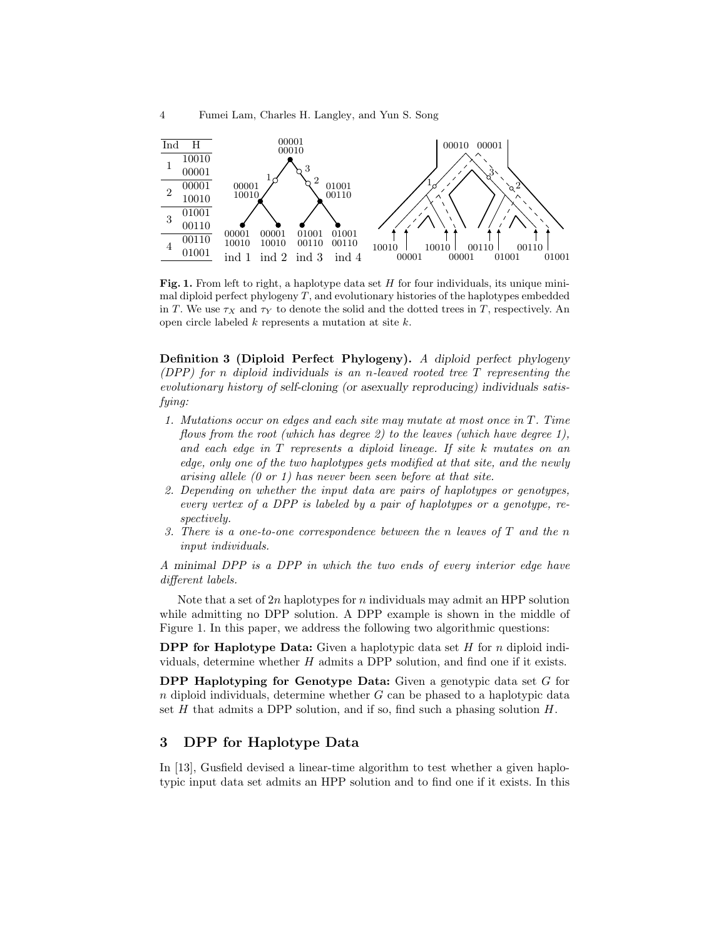

Fig. 1. From left to right, a haplotype data set  $H$  for four individuals, its unique minimal diploid perfect phylogeny  $T$ , and evolutionary histories of the haplotypes embedded in T. We use  $\tau_X$  and  $\tau_Y$  to denote the solid and the dotted trees in T, respectively. An open circle labeled k represents a mutation at site k.

Definition 3 (Diploid Perfect Phylogeny). A diploid perfect phylogeny (DPP) for n diploid individuals is an n-leaved rooted tree  $T$  representing the evolutionary history of self-cloning (or asexually reproducing) individuals satisfying:

- 1. Mutations occur on edges and each site may mutate at most once in T. Time flows from the root (which has degree 2) to the leaves (which have degree 1), and each edge in T represents a diploid lineage. If site k mutates on an edge, only one of the two haplotypes gets modified at that site, and the newly arising allele (0 or 1) has never been seen before at that site.
- 2. Depending on whether the input data are pairs of haplotypes or genotypes, every vertex of a DPP is labeled by a pair of haplotypes or a genotype, respectively.
- 3. There is a one-to-one correspondence between the n leaves of  $T$  and the n input individuals.

A minimal DPP is a DPP in which the two ends of every interior edge have different labels.

Note that a set of  $2n$  haplotypes for n individuals may admit an HPP solution while admitting no DPP solution. A DPP example is shown in the middle of Figure 1. In this paper, we address the following two algorithmic questions:

**DPP** for Haplotype Data: Given a haplotypic data set  $H$  for n diploid individuals, determine whether  $H$  admits a DPP solution, and find one if it exists.

DPP Haplotyping for Genotype Data: Given a genotypic data set G for  $n$  diploid individuals, determine whether  $G$  can be phased to a haplotypic data set  $H$  that admits a DPP solution, and if so, find such a phasing solution  $H$ .

# 3 DPP for Haplotype Data

In [13], Gusfield devised a linear-time algorithm to test whether a given haplotypic input data set admits an HPP solution and to find one if it exists. In this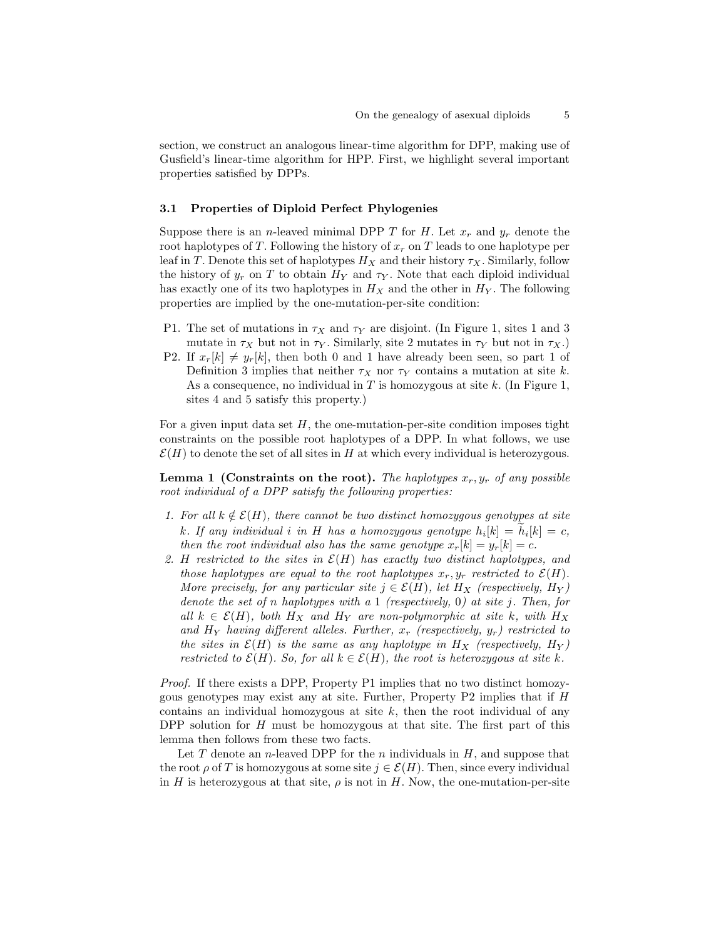section, we construct an analogous linear-time algorithm for DPP, making use of Gusfield's linear-time algorithm for HPP. First, we highlight several important properties satisfied by DPPs.

#### 3.1 Properties of Diploid Perfect Phylogenies

Suppose there is an *n*-leaved minimal DPP T for H. Let  $x_r$  and  $y_r$  denote the root haplotypes of T. Following the history of  $x_r$  on T leads to one haplotype per leaf in T. Denote this set of haplotypes  $H_X$  and their history  $\tau_X$ . Similarly, follow the history of  $y_r$  on T to obtain  $H_Y$  and  $\tau_Y$ . Note that each diploid individual has exactly one of its two haplotypes in  $H_X$  and the other in  $H_Y$ . The following properties are implied by the one-mutation-per-site condition:

- P1. The set of mutations in  $\tau_X$  and  $\tau_Y$  are disjoint. (In Figure 1, sites 1 and 3 mutate in  $\tau_X$  but not in  $\tau_Y$ . Similarly, site 2 mutates in  $\tau_Y$  but not in  $\tau_X$ .)
- P2. If  $x_r[k] \neq y_r[k]$ , then both 0 and 1 have already been seen, so part 1 of Definition 3 implies that neither  $\tau_X$  nor  $\tau_Y$  contains a mutation at site k. As a consequence, no individual in  $T$  is homozygous at site  $k$ . (In Figure 1, sites 4 and 5 satisfy this property.)

For a given input data set  $H$ , the one-mutation-per-site condition imposes tight constraints on the possible root haplotypes of a DPP. In what follows, we use  $\mathcal{E}(H)$  to denote the set of all sites in H at which every individual is heterozygous.

**Lemma 1 (Constraints on the root).** The haplotypes  $x_r, y_r$  of any possible root individual of a DPP satisfy the following properties:

- 1. For all  $k \notin \mathcal{E}(H)$ , there cannot be two distinct homozygous genotypes at site k. If any individual i in H has a homozygous genotype  $h_i[k] = h_i[k] = c$ , then the root individual also has the same genotype  $x_r[k] = y_r[k] = c$ .
- 2. H restricted to the sites in  $\mathcal{E}(H)$  has exactly two distinct haplotypes, and those haplotypes are equal to the root haplotypes  $x_r, y_r$  restricted to  $\mathcal{E}(H)$ . More precisely, for any particular site  $j \in \mathcal{E}(H)$ , let  $H_X$  (respectively,  $H_Y$ ) denote the set of n haplotypes with a 1 (respectively, 0) at site j. Then, for all  $k \in \mathcal{E}(H)$ , both  $H_X$  and  $H_Y$  are non-polymorphic at site k, with  $H_X$ and  $H_Y$  having different alleles. Further,  $x_r$  (respectively,  $y_r$ ) restricted to the sites in  $\mathcal{E}(H)$  is the same as any haplotype in  $H_X$  (respectively,  $H_Y$ ) restricted to  $\mathcal{E}(H)$ . So, for all  $k \in \mathcal{E}(H)$ , the root is heterozygous at site k.

Proof. If there exists a DPP, Property P1 implies that no two distinct homozygous genotypes may exist any at site. Further, Property P2 implies that if  $H$ contains an individual homozygous at site  $k$ , then the root individual of any DPP solution for  $H$  must be homozygous at that site. The first part of this lemma then follows from these two facts.

Let T denote an n-leaved DPP for the n individuals in  $H$ , and suppose that the root  $\rho$  of T is homozygous at some site  $j \in \mathcal{E}(H)$ . Then, since every individual in H is heterozygous at that site,  $\rho$  is not in H. Now, the one-mutation-per-site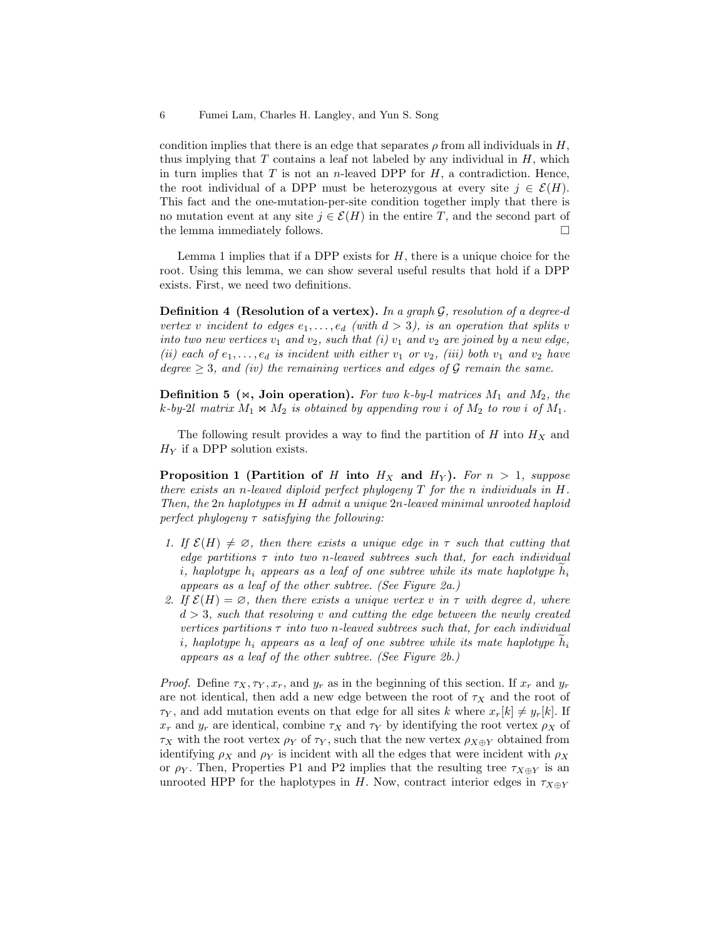condition implies that there is an edge that separates  $\rho$  from all individuals in H, thus implying that  $T$  contains a leaf not labeled by any individual in  $H$ , which in turn implies that  $T$  is not an n-leaved DPP for  $H$ , a contradiction. Hence, the root individual of a DPP must be heterozygous at every site  $j \in \mathcal{E}(H)$ . This fact and the one-mutation-per-site condition together imply that there is no mutation event at any site  $j \in \mathcal{E}(H)$  in the entire T, and the second part of the lemma immediately follows.

Lemma 1 implies that if a DPP exists for  $H$ , there is a unique choice for the root. Using this lemma, we can show several useful results that hold if a DPP exists. First, we need two definitions.

**Definition 4 (Resolution of a vertex).** In a graph  $G$ , resolution of a degree-d vertex v incident to edges  $e_1, \ldots, e_d$  (with  $d > 3$ ), is an operation that splits v into two new vertices  $v_1$  and  $v_2$ , such that (i)  $v_1$  and  $v_2$  are joined by a new edge, (ii) each of  $e_1, \ldots, e_d$  is incident with either  $v_1$  or  $v_2$ , (iii) both  $v_1$  and  $v_2$  have degree  $\geq$  3, and (iv) the remaining vertices and edges of G remain the same.

Definition 5 ( $\bowtie$ , Join operation). For two k-by-l matrices  $M_1$  and  $M_2$ , the k-by-2l matrix  $M_1 \Join M_2$  is obtained by appending row i of  $M_2$  to row i of  $M_1$ .

The following result provides a way to find the partition of  $H$  into  $H_X$  and  $H_Y$  if a DPP solution exists.

**Proposition 1 (Partition of H into**  $H_X$  **and**  $H_Y$ **).** For  $n > 1$ , suppose there exists an n-leaved diploid perfect phylogeny T for the n individuals in H. Then, the 2n haplotypes in H admit a unique 2n-leaved minimal unrooted haploid perfect phylogeny  $\tau$  satisfying the following:

- 1. If  $\mathcal{E}(H) \neq \emptyset$ , then there exists a unique edge in  $\tau$  such that cutting that edge partitions  $\tau$  into two n-leaved subtrees such that, for each individual i, haplotype  $h_i$  appears as a leaf of one subtree while its mate haplotype  $h_i$ appears as a leaf of the other subtree. (See Figure 2a.)
- 2. If  $\mathcal{E}(H) = \emptyset$ , then there exists a unique vertex v in  $\tau$  with degree d, where  $d > 3$ , such that resolving v and cutting the edge between the newly created vertices partitions  $\tau$  into two n-leaved subtrees such that, for each individual i, haplotype  $h_i$  appears as a leaf of one subtree while its mate haplotype  $h_i$ appears as a leaf of the other subtree. (See Figure 2b.)

*Proof.* Define  $\tau_X, \tau_Y, x_r$ , and  $y_r$  as in the beginning of this section. If  $x_r$  and  $y_r$ are not identical, then add a new edge between the root of  $\tau_X$  and the root of  $\tau_Y$ , and add mutation events on that edge for all sites k where  $x_r[k] \neq y_r[k]$ . If  $x_r$  and  $y_r$  are identical, combine  $\tau_X$  and  $\tau_Y$  by identifying the root vertex  $\rho_X$  of  $\tau_X$  with the root vertex  $\rho_Y$  of  $\tau_Y$ , such that the new vertex  $\rho_{X\oplus Y}$  obtained from identifying  $\rho_X$  and  $\rho_Y$  is incident with all the edges that were incident with  $\rho_X$ or  $\rho_Y$ . Then, Properties P1 and P2 implies that the resulting tree  $\tau_{X\oplus Y}$  is an unrooted HPP for the haplotypes in H. Now, contract interior edges in  $\tau_{X\oplus Y}$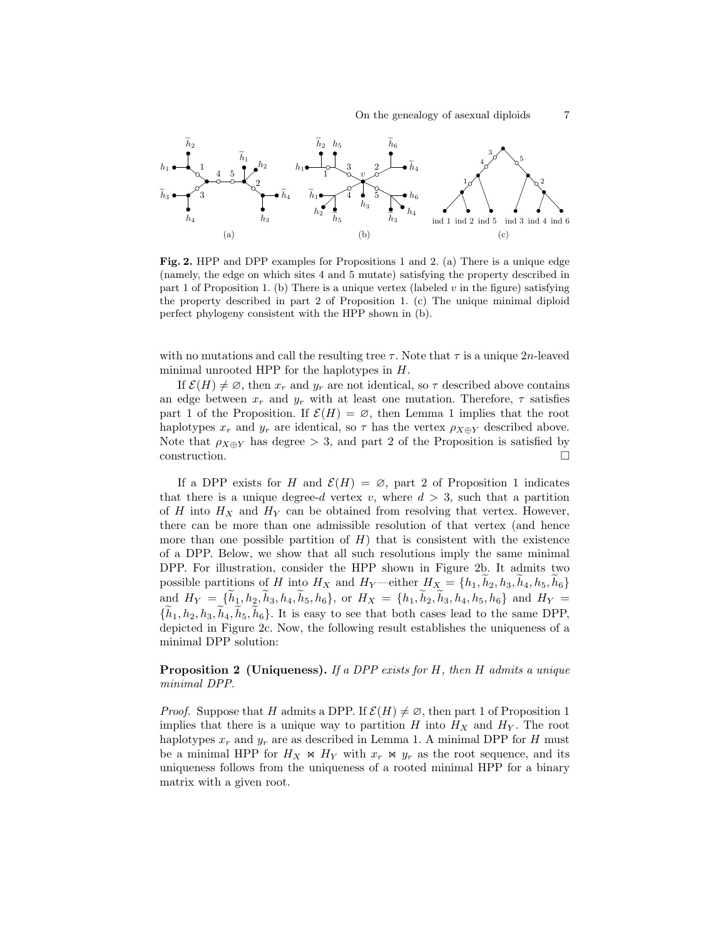

Fig. 2. HPP and DPP examples for Propositions 1 and 2. (a) There is a unique edge (namely, the edge on which sites 4 and 5 mutate) satisfying the property described in part 1 of Proposition 1. (b) There is a unique vertex (labeled  $v$  in the figure) satisfying the property described in part 2 of Proposition 1. (c) The unique minimal diploid perfect phylogeny consistent with the HPP shown in (b).

with no mutations and call the resulting tree  $\tau$ . Note that  $\tau$  is a unique 2n-leaved minimal unrooted HPP for the haplotypes in  $H$ .

If  $\mathcal{E}(H) \neq \emptyset$ , then  $x_r$  and  $y_r$  are not identical, so  $\tau$  described above contains an edge between  $x_r$  and  $y_r$  with at least one mutation. Therefore,  $\tau$  satisfies part 1 of the Proposition. If  $\mathcal{E}(H) = \emptyset$ , then Lemma 1 implies that the root haplotypes  $x_r$  and  $y_r$  are identical, so  $\tau$  has the vertex  $\rho_{X \oplus Y}$  described above. Note that  $\rho_{X\oplus Y}$  has degree > 3, and part 2 of the Proposition is satisfied by  $\Box$ construction.

If a DPP exists for H and  $\mathcal{E}(H) = \emptyset$ , part 2 of Proposition 1 indicates that there is a unique degree-d vertex v, where  $d > 3$ , such that a partition of H into  $H_X$  and  $H_Y$  can be obtained from resolving that vertex. However, there can be more than one admissible resolution of that vertex (and hence more than one possible partition of  $H$ ) that is consistent with the existence of a DPP. Below, we show that all such resolutions imply the same minimal DPP. For illustration, consider the HPP shown in Figure 2b. It admits two possible partitions of H into  $H_X$  and  $H_Y$  —either  $H_X = \{h_1, h_2, h_3, h_4, h_5, h_6\}$ and  $H_Y = \{\tilde{h}_1, h_2, \tilde{h}_3, h_4, \tilde{h}_5, h_6\}$ , or  $H_X = \{h_1, h_2, h_3, h_4, h_5, h_6\}$  and  $H_Y =$  $\{h_1, h_2, h_3, h_4, h_5, h_6\}$ . It is easy to see that both cases lead to the same DPP, depicted in Figure 2c. Now, the following result establishes the uniqueness of a minimal DPP solution:

Proposition 2 (Uniqueness). If a DPP exists for H, then H admits a unique minimal DPP.

*Proof.* Suppose that H admits a DPP. If  $\mathcal{E}(H) \neq \emptyset$ , then part 1 of Proposition 1 implies that there is a unique way to partition H into  $H_X$  and  $H_Y$ . The root haplotypes  $x_r$  and  $y_r$  are as described in Lemma 1. A minimal DPP for H must be a minimal HPP for  $H_X \Join H_Y$  with  $x_r \Join y_r$  as the root sequence, and its uniqueness follows from the uniqueness of a rooted minimal HPP for a binary matrix with a given root.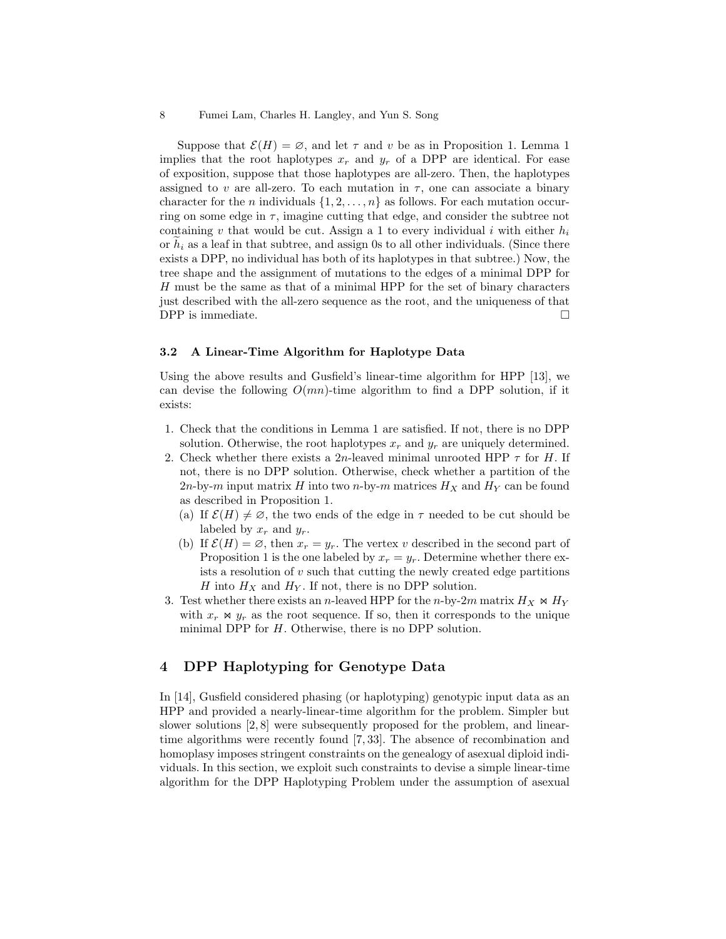Suppose that  $\mathcal{E}(H) = \emptyset$ , and let  $\tau$  and v be as in Proposition 1. Lemma 1 implies that the root haplotypes  $x_r$  and  $y_r$  of a DPP are identical. For ease of exposition, suppose that those haplotypes are all-zero. Then, the haplotypes assigned to v are all-zero. To each mutation in  $\tau$ , one can associate a binary character for the *n* individuals  $\{1, 2, \ldots, n\}$  as follows. For each mutation occurring on some edge in  $\tau$ , imagine cutting that edge, and consider the subtree not containing v that would be cut. Assign a 1 to every individual i with either  $h_i$ or  $h_i$  as a leaf in that subtree, and assign 0s to all other individuals. (Since there exists a DPP, no individual has both of its haplotypes in that subtree.) Now, the tree shape and the assignment of mutations to the edges of a minimal DPP for H must be the same as that of a minimal HPP for the set of binary characters just described with the all-zero sequence as the root, and the uniqueness of that  $DPP$  is immediate.

#### 3.2 A Linear-Time Algorithm for Haplotype Data

Using the above results and Gusfield's linear-time algorithm for HPP [13], we can devise the following  $O(mn)$ -time algorithm to find a DPP solution, if it exists:

- 1. Check that the conditions in Lemma 1 are satisfied. If not, there is no DPP solution. Otherwise, the root haplotypes  $x_r$  and  $y_r$  are uniquely determined.
- 2. Check whether there exists a 2n-leaved minimal unrooted HPP  $\tau$  for H. If not, there is no DPP solution. Otherwise, check whether a partition of the 2n-by-m input matrix H into two n-by-m matrices  $H_X$  and  $H_Y$  can be found as described in Proposition 1.
	- (a) If  $\mathcal{E}(H) \neq \emptyset$ , the two ends of the edge in  $\tau$  needed to be cut should be labeled by  $x_r$  and  $y_r$ .
	- (b) If  $\mathcal{E}(H) = \emptyset$ , then  $x_r = y_r$ . The vertex v described in the second part of Proposition 1 is the one labeled by  $x_r = y_r$ . Determine whether there exists a resolution of  $v$  such that cutting the newly created edge partitions H into  $H_X$  and  $H_Y$ . If not, there is no DPP solution.
- 3. Test whether there exists an *n*-leaved HPP for the *n*-by-2*m* matrix  $H_X \Join H_Y$ with  $x_r \bowtie y_r$  as the root sequence. If so, then it corresponds to the unique minimal DPP for H. Otherwise, there is no DPP solution.

### 4 DPP Haplotyping for Genotype Data

In [14], Gusfield considered phasing (or haplotyping) genotypic input data as an HPP and provided a nearly-linear-time algorithm for the problem. Simpler but slower solutions [2, 8] were subsequently proposed for the problem, and lineartime algorithms were recently found [7, 33]. The absence of recombination and homoplasy imposes stringent constraints on the genealogy of asexual diploid individuals. In this section, we exploit such constraints to devise a simple linear-time algorithm for the DPP Haplotyping Problem under the assumption of asexual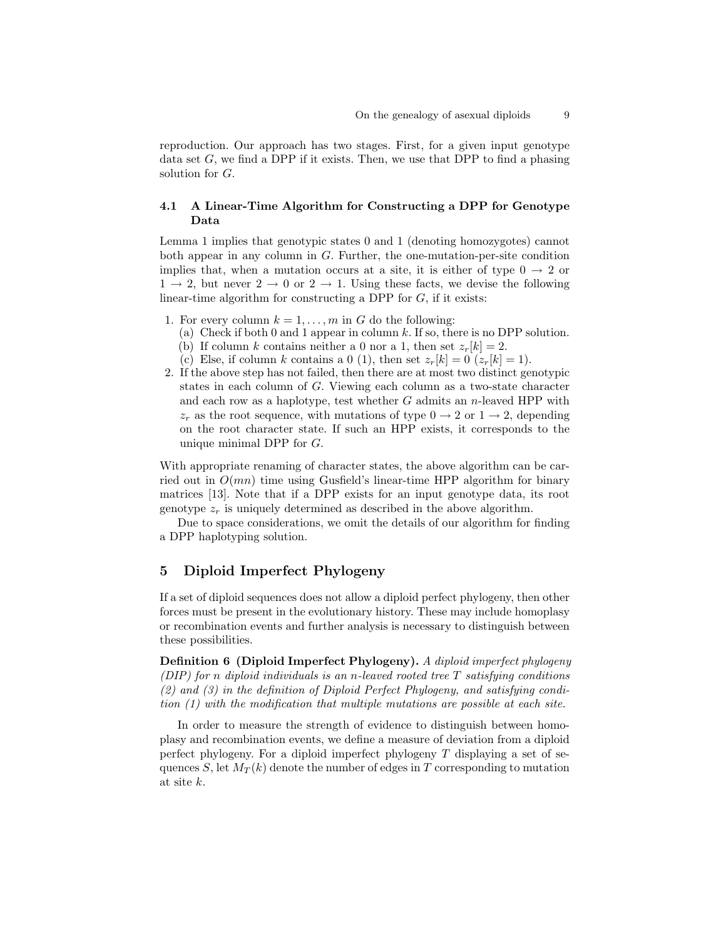reproduction. Our approach has two stages. First, for a given input genotype data set  $G$ , we find a DPP if it exists. Then, we use that DPP to find a phasing solution for G.

### 4.1 A Linear-Time Algorithm for Constructing a DPP for Genotype Data

Lemma 1 implies that genotypic states 0 and 1 (denoting homozygotes) cannot both appear in any column in  $G$ . Further, the one-mutation-per-site condition implies that, when a mutation occurs at a site, it is either of type  $0 \rightarrow 2$  or  $1 \rightarrow 2$ , but never  $2 \rightarrow 0$  or  $2 \rightarrow 1$ . Using these facts, we devise the following linear-time algorithm for constructing a DPP for  $G$ , if it exists:

- 1. For every column  $k = 1, \ldots, m$  in G do the following:
	- (a) Check if both 0 and 1 appear in column  $k$ . If so, there is no DPP solution.
	- (b) If column k contains neither a 0 nor a 1, then set  $z_r[k] = 2$ .
	- (c) Else, if column k contains a 0 (1), then set  $z_r[k] = 0$   $(z_r[k] = 1)$ .
- 2. If the above step has not failed, then there are at most two distinct genotypic states in each column of G. Viewing each column as a two-state character and each row as a haplotype, test whether  $G$  admits an n-leaved HPP with  $z_r$  as the root sequence, with mutations of type  $0 \rightarrow 2$  or  $1 \rightarrow 2$ , depending on the root character state. If such an HPP exists, it corresponds to the unique minimal DPP for G.

With appropriate renaming of character states, the above algorithm can be carried out in  $O(mn)$  time using Gusfield's linear-time HPP algorithm for binary matrices [13]. Note that if a DPP exists for an input genotype data, its root genotype  $z_r$  is uniquely determined as described in the above algorithm.

Due to space considerations, we omit the details of our algorithm for finding a DPP haplotyping solution.

## 5 Diploid Imperfect Phylogeny

If a set of diploid sequences does not allow a diploid perfect phylogeny, then other forces must be present in the evolutionary history. These may include homoplasy or recombination events and further analysis is necessary to distinguish between these possibilities.

Definition 6 (Diploid Imperfect Phylogeny). A diploid imperfect phylogeny (DIP) for n diploid individuals is an n-leaved rooted tree  $T$  satisfying conditions (2) and (3) in the definition of Diploid Perfect Phylogeny, and satisfying condition (1) with the modification that multiple mutations are possible at each site.

In order to measure the strength of evidence to distinguish between homoplasy and recombination events, we define a measure of deviation from a diploid perfect phylogeny. For a diploid imperfect phylogeny  $T$  displaying a set of sequences S, let  $M_T(k)$  denote the number of edges in T corresponding to mutation at site k.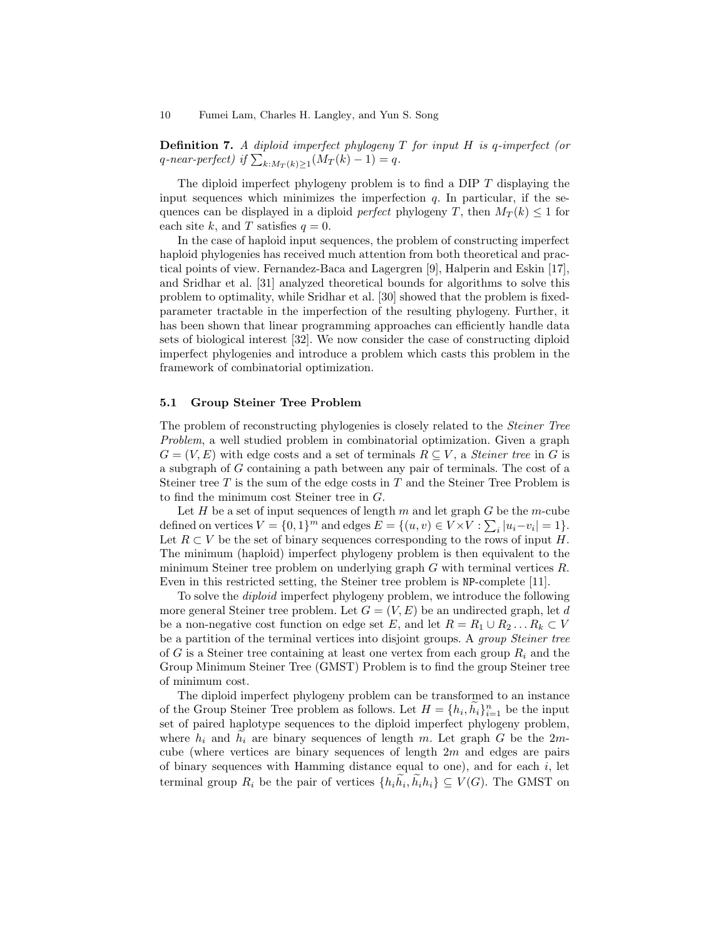**Definition 7.** A diploid imperfect phylogeny  $T$  for input  $H$  is q-imperfect (or q-near-perfect) if  $\sum_{k:M_T(k)\geq 1}(M_T(k)-1)=q$ .

The diploid imperfect phylogeny problem is to find a DIP T displaying the input sequences which minimizes the imperfection  $q$ . In particular, if the sequences can be displayed in a diploid *perfect* phylogeny T, then  $M_T(k) \leq 1$  for each site k, and T satisfies  $q = 0$ .

In the case of haploid input sequences, the problem of constructing imperfect haploid phylogenies has received much attention from both theoretical and practical points of view. Fernandez-Baca and Lagergren [9], Halperin and Eskin [17], and Sridhar et al. [31] analyzed theoretical bounds for algorithms to solve this problem to optimality, while Sridhar et al. [30] showed that the problem is fixedparameter tractable in the imperfection of the resulting phylogeny. Further, it has been shown that linear programming approaches can efficiently handle data sets of biological interest [32]. We now consider the case of constructing diploid imperfect phylogenies and introduce a problem which casts this problem in the framework of combinatorial optimization.

#### 5.1 Group Steiner Tree Problem

The problem of reconstructing phylogenies is closely related to the Steiner Tree Problem, a well studied problem in combinatorial optimization. Given a graph  $G = (V, E)$  with edge costs and a set of terminals  $R \subseteq V$ , a *Steiner tree* in G is a subgraph of G containing a path between any pair of terminals. The cost of a Steiner tree  $T$  is the sum of the edge costs in  $T$  and the Steiner Tree Problem is to find the minimum cost Steiner tree in G.

Let  $H$  be a set of input sequences of length  $m$  and let graph  $G$  be the  $m$ -cube defined on vertices  $V = \{0, 1\}^m$  and edges  $E = \{(u, v) \in V \times V : \sum_i |u_i - v_i| = 1\}.$ Let  $R \subset V$  be the set of binary sequences corresponding to the rows of input H. The minimum (haploid) imperfect phylogeny problem is then equivalent to the minimum Steiner tree problem on underlying graph  $G$  with terminal vertices  $R$ . Even in this restricted setting, the Steiner tree problem is NP-complete [11].

To solve the diploid imperfect phylogeny problem, we introduce the following more general Steiner tree problem. Let  $G = (V, E)$  be an undirected graph, let d be a non-negative cost function on edge set E, and let  $R = R_1 \cup R_2 \dots R_k \subset V$ be a partition of the terminal vertices into disjoint groups. A group Steiner tree of G is a Steiner tree containing at least one vertex from each group  $R_i$  and the Group Minimum Steiner Tree (GMST) Problem is to find the group Steiner tree of minimum cost.

The diploid imperfect phylogeny problem can be transformed to an instance of the Group Steiner Tree problem as follows. Let  $H = \{h_i, \tilde{h}_i\}_{i=1}^n$  be the input set of paired haplotype sequences to the diploid imperfect phylogeny problem, where  $h_i$  and  $h_i$  are binary sequences of length m. Let graph G be the 2mcube (where vertices are binary sequences of length  $2m$  and edges are pairs of binary sequences with Hamming distance equal to one), and for each  $i$ , let terminal group  $R_i$  be the pair of vertices  $\{h_i h_i, h_i h_i\} \subseteq V(G)$ . The GMST on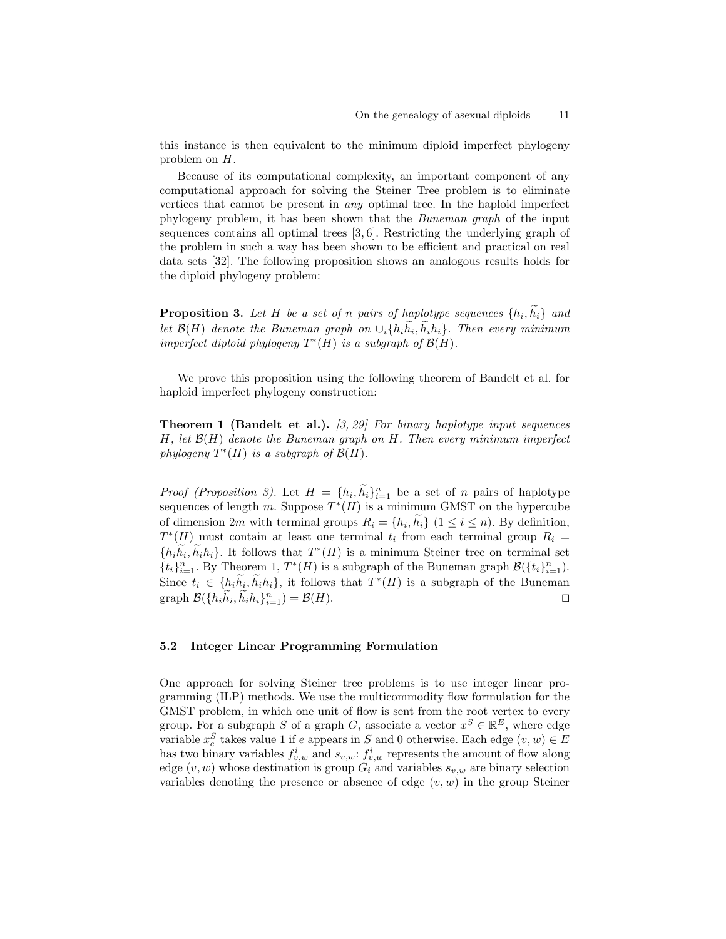this instance is then equivalent to the minimum diploid imperfect phylogeny problem on H.

Because of its computational complexity, an important component of any computational approach for solving the Steiner Tree problem is to eliminate vertices that cannot be present in any optimal tree. In the haploid imperfect phylogeny problem, it has been shown that the Buneman graph of the input sequences contains all optimal trees [3, 6]. Restricting the underlying graph of the problem in such a way has been shown to be efficient and practical on real data sets [32]. The following proposition shows an analogous results holds for the diploid phylogeny problem:

**Proposition 3.** Let H be a set of n pairs of haplotype sequences  $\{h_i, h_i\}$  and let  $\mathcal{B}(H)$  denote the Buneman graph on  $\cup_i \{h_i, h_i, h_i\}$ . Then every minimum imperfect diploid phylogeny  $T^*(H)$  is a subgraph of  $\mathcal{B}(H)$ .

We prove this proposition using the following theorem of Bandelt et al. for haploid imperfect phylogeny construction:

Theorem 1 (Bandelt et al.). [3, 29] For binary haplotype input sequences H, let  $\mathcal{B}(H)$  denote the Buneman graph on H. Then every minimum imperfect phylogeny  $T^*(H)$  is a subgraph of  $\mathcal{B}(H)$ .

*Proof (Proposition 3)*. Let  $H = \{h_i, h_i\}_{i=1}^n$  be a set of *n* pairs of haplotype sequences of length m. Suppose  $T^*(H)$  is a minimum GMST on the hypercube of dimension 2m with terminal groups  $R_i = \{h_i, h_i\}$   $(1 \leq i \leq n)$ . By definition,  $T^*(H)$  must contain at least one terminal  $t_i$  from each terminal group  $R_i =$  $\{h_i\tilde{h}_i, \tilde{h}_i\}$ . It follows that  $T^*(H)$  is a minimum Steiner tree on terminal set  $\{t_i\}_{i=1}^n$ . By Theorem 1,  $T^*(H)$  is a subgraph of the Buneman graph  $\mathcal{B}(\{t_i\}_{i=1}^n)$ . Since  $t_i \in \{h_i \tilde{h_i}, h_i h_i\}$ , it follows that  $T^*(H)$  is a subgraph of the Buneman graph  $\mathcal{B}(\lbrace h_i \dot{h}_i, \dot{h}_i h_i \rbrace_{i=1}^n) = \mathcal{B}(H).$ 

### 5.2 Integer Linear Programming Formulation

One approach for solving Steiner tree problems is to use integer linear programming (ILP) methods. We use the multicommodity flow formulation for the GMST problem, in which one unit of flow is sent from the root vertex to every group. For a subgraph S of a graph G, associate a vector  $x^S \in \mathbb{R}^E$ , where edge variable  $x_e^S$  takes value 1 if  $e$  appears in  $S$  and 0 otherwise. Each edge  $(v, w) \in E$ has two binary variables  $f_{v,w}^i$  and  $s_{v,w}: f_{v,w}^i$  represents the amount of flow along edge  $(v, w)$  whose destination is group  $G_i$  and variables  $s_{v,w}$  are binary selection variables denoting the presence or absence of edge  $(v, w)$  in the group Steiner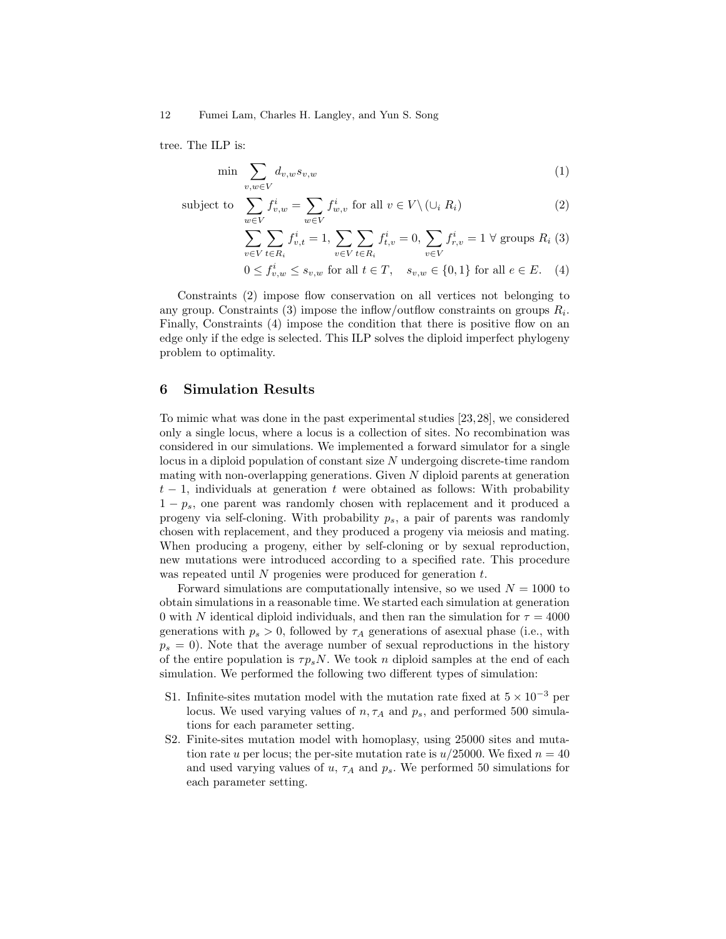12 Fumei Lam, Charles H. Langley, and Yun S. Song

tree. The ILP is:

$$
\min \sum_{v,w \in V} d_{v,w} s_{v,w} \tag{1}
$$

subject to 
$$
\sum_{w \in V} f_{v,w}^i = \sum_{w \in V} f_{w,v}^i \text{ for all } v \in V \setminus (\cup_i R_i)
$$
 (2)

$$
\sum_{v \in V} \sum_{t \in R_i} f_{v,t}^i = 1, \sum_{v \in V} \sum_{t \in R_i} f_{t,v}^i = 0, \sum_{v \in V} f_{r,v}^i = 1 \ \forall \text{ groups } R_i \text{ (3)}
$$

$$
0 \le f_{v,w}^i \le s_{v,w} \text{ for all } t \in T, \quad s_{v,w} \in \{0,1\} \text{ for all } e \in E. \tag{4}
$$

Constraints (2) impose flow conservation on all vertices not belonging to any group. Constraints (3) impose the inflow/outflow constraints on groups  $R_i$ . Finally, Constraints (4) impose the condition that there is positive flow on an edge only if the edge is selected. This ILP solves the diploid imperfect phylogeny problem to optimality.

### 6 Simulation Results

To mimic what was done in the past experimental studies [23,28], we considered only a single locus, where a locus is a collection of sites. No recombination was considered in our simulations. We implemented a forward simulator for a single locus in a diploid population of constant size  $N$  undergoing discrete-time random mating with non-overlapping generations. Given  $N$  diploid parents at generation  $t-1$ , individuals at generation t were obtained as follows: With probability  $1 - p_s$ , one parent was randomly chosen with replacement and it produced a progeny via self-cloning. With probability  $p_s$ , a pair of parents was randomly chosen with replacement, and they produced a progeny via meiosis and mating. When producing a progeny, either by self-cloning or by sexual reproduction, new mutations were introduced according to a specified rate. This procedure was repeated until N progenies were produced for generation  $t$ .

Forward simulations are computationally intensive, so we used  $N = 1000$  to obtain simulations in a reasonable time. We started each simulation at generation 0 with N identical diploid individuals, and then ran the simulation for  $\tau = 4000$ generations with  $p_s > 0$ , followed by  $\tau_A$  generations of asexual phase (i.e., with  $p_s = 0$ ). Note that the average number of sexual reproductions in the history of the entire population is  $\tau p_s N$ . We took n diploid samples at the end of each simulation. We performed the following two different types of simulation:

- S1. Infinite-sites mutation model with the mutation rate fixed at  $5 \times 10^{-3}$  per locus. We used varying values of  $n, \tau_A$  and  $p_s$ , and performed 500 simulations for each parameter setting.
- S2. Finite-sites mutation model with homoplasy, using 25000 sites and mutation rate u per locus; the per-site mutation rate is  $u/25000$ . We fixed  $n = 40$ and used varying values of  $u$ ,  $\tau_A$  and  $p_s$ . We performed 50 simulations for each parameter setting.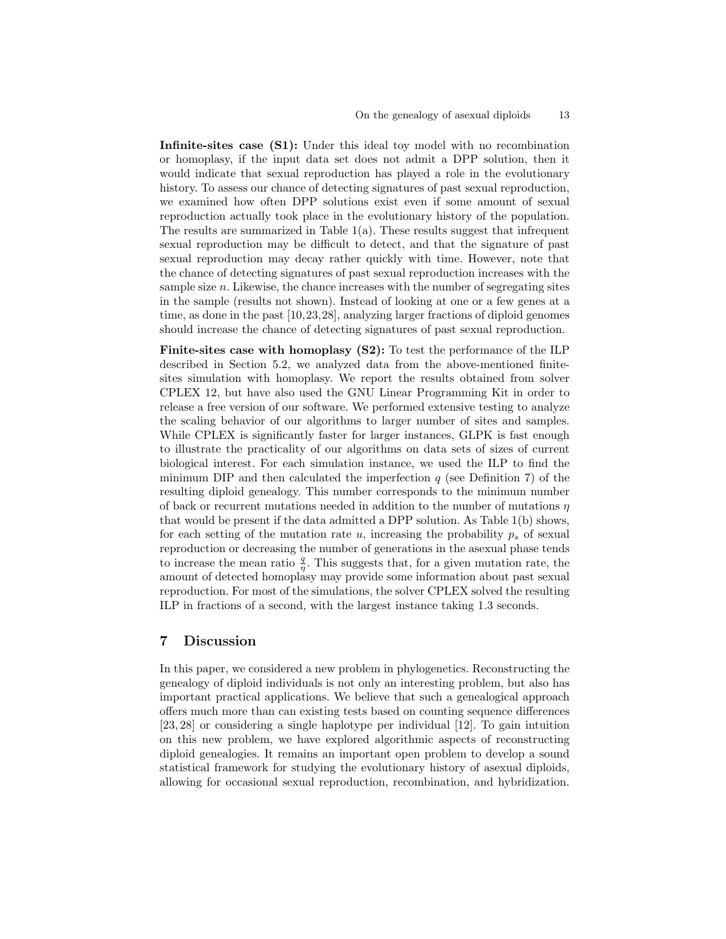Infinite-sites case (S1): Under this ideal toy model with no recombination or homoplasy, if the input data set does not admit a DPP solution, then it would indicate that sexual reproduction has played a role in the evolutionary history. To assess our chance of detecting signatures of past sexual reproduction, we examined how often DPP solutions exist even if some amount of sexual reproduction actually took place in the evolutionary history of the population. The results are summarized in Table  $1(a)$ . These results suggest that infrequent sexual reproduction may be difficult to detect, and that the signature of past sexual reproduction may decay rather quickly with time. However, note that the chance of detecting signatures of past sexual reproduction increases with the sample size  $n$ . Likewise, the chance increases with the number of segregating sites in the sample (results not shown). Instead of looking at one or a few genes at a time, as done in the past [10,23,28], analyzing larger fractions of diploid genomes should increase the chance of detecting signatures of past sexual reproduction.

Finite-sites case with homoplasy (S2): To test the performance of the ILP described in Section 5.2, we analyzed data from the above-mentioned finitesites simulation with homoplasy. We report the results obtained from solver CPLEX 12, but have also used the GNU Linear Programming Kit in order to release a free version of our software. We performed extensive testing to analyze the scaling behavior of our algorithms to larger number of sites and samples. While CPLEX is significantly faster for larger instances, GLPK is fast enough to illustrate the practicality of our algorithms on data sets of sizes of current biological interest. For each simulation instance, we used the ILP to find the minimum DIP and then calculated the imperfection  $q$  (see Definition 7) of the resulting diploid genealogy. This number corresponds to the minimum number of back or recurrent mutations needed in addition to the number of mutations  $\eta$ that would be present if the data admitted a DPP solution. As Table 1(b) shows, for each setting of the mutation rate u, increasing the probability  $p_s$  of sexual reproduction or decreasing the number of generations in the asexual phase tends to increase the mean ratio  $\frac{q}{\eta}$ . This suggests that, for a given mutation rate, the amount of detected homoplasy may provide some information about past sexual reproduction. For most of the simulations, the solver CPLEX solved the resulting ILP in fractions of a second, with the largest instance taking 1.3 seconds.

### 7 Discussion

In this paper, we considered a new problem in phylogenetics. Reconstructing the genealogy of diploid individuals is not only an interesting problem, but also has important practical applications. We believe that such a genealogical approach offers much more than can existing tests based on counting sequence differences [23, 28] or considering a single haplotype per individual [12]. To gain intuition on this new problem, we have explored algorithmic aspects of reconstructing diploid genealogies. It remains an important open problem to develop a sound statistical framework for studying the evolutionary history of asexual diploids, allowing for occasional sexual reproduction, recombination, and hybridization.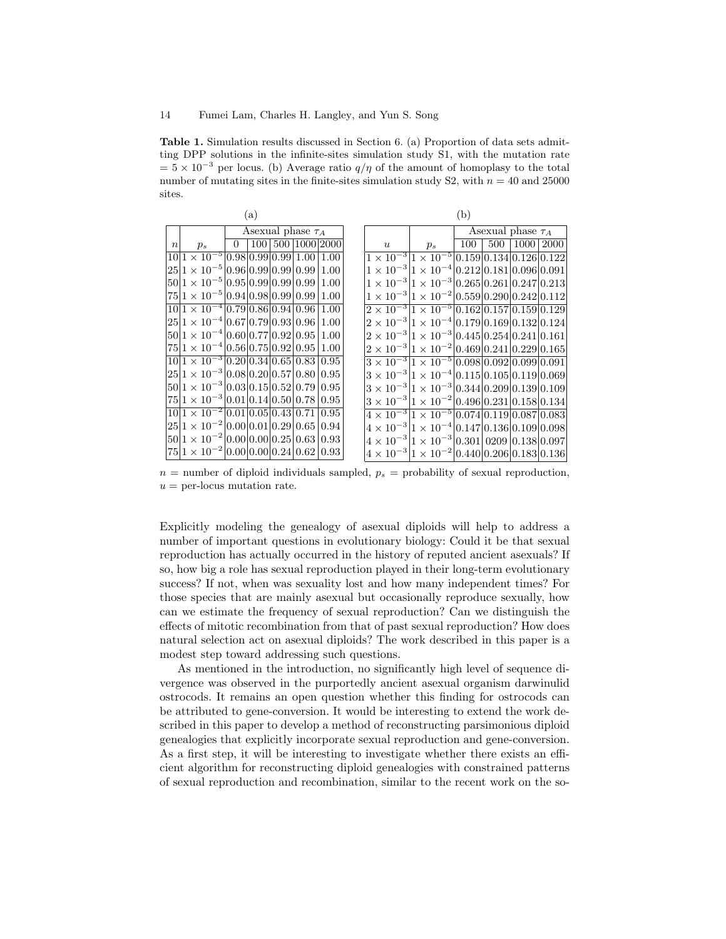Table 1. Simulation results discussed in Section 6. (a) Proportion of data sets admitting DPP solutions in the infinite-sites simulation study S1, with the mutation rate  $= 5 \times 10^{-3}$  per locus. (b) Average ratio  $q/\eta$  of the amount of homoplasy to the total number of mutating sites in the finite-sites simulation study S2, with  $n = 40$  and 25000 sites.

| (a)               |                                                                        |                            |  |  |                         |      |  | (b)              |                                                                                                           |                            |     |             |  |  |
|-------------------|------------------------------------------------------------------------|----------------------------|--|--|-------------------------|------|--|------------------|-----------------------------------------------------------------------------------------------------------|----------------------------|-----|-------------|--|--|
|                   |                                                                        | As<br>exual phase $\tau_A$ |  |  |                         |      |  |                  |                                                                                                           | As<br>exual phase $\tau_A$ |     |             |  |  |
| $\left  n\right $ | $p_s$                                                                  | $\Omega$                   |  |  | 100   500   1000   2000 |      |  | $\boldsymbol{u}$ | $p_s$                                                                                                     | 100                        | 500 | 1000   2000 |  |  |
|                   | $\frac{10 1 \times 10^{-5} 0.98 0.99 0.99 1.00 }{1.00 1.00 1.00 1.00}$ |                            |  |  |                         |      |  |                  | $1 \times 10^{-3}$ $1 \times 10^{-5}$ 0.159 0.134 0.126 0.122                                             |                            |     |             |  |  |
|                   | $25 1 \times 10^{-5} 0.96 0.99 0.99 0.99 1.00$                         |                            |  |  |                         |      |  |                  | $1 \times 10^{-3}$ $1 \times 10^{-4}$ $ 0.212 0.181 0.096 0.091$                                          |                            |     |             |  |  |
|                   | $50 1 \times 10^{-5} 0.95 0.99 0.99 0.99 $                             |                            |  |  |                         | 1.00 |  |                  | $1 \times 10^{-3}$ $1 \times 10^{-3}$ $0.265$ $0.261$ $0.247$ $0.213$                                     |                            |     |             |  |  |
|                   | $75 1 \times 10^{-5} 0.94 0.98 0.99 0.99 $                             |                            |  |  |                         | 1.00 |  |                  | $1 \times 10^{-3}$   $1 \times 10^{-2}$  0.559 0.290 0.242 0.112                                          |                            |     |             |  |  |
|                   | $10 1 \times 10^{-4} 0.79 0.86 0.94 0.96$                              |                            |  |  |                         | 1.00 |  |                  | $(2 \times 10^{-3})$ $(1 \times 10^{-5})$ $(0.162)$ $(0.157)$ $(0.159)$ $(0.129)$                         |                            |     |             |  |  |
|                   | $25 1 \times 10^{-4} 0.67 0.79 0.93 0.96$                              |                            |  |  |                         | 1.00 |  |                  | $12 \times 10^{-3}$ $1 \times 10^{-4}$ $0.179$ $0.169$ $0.132$ $0.124$                                    |                            |     |             |  |  |
|                   | $50 1 \times 10^{-4} 0.60 0.77 0.92 0.95 $                             |                            |  |  |                         | 1.00 |  |                  | $12 \times 10^{-3}$ $1 \times 10^{-3}$ $0.445$ $0.254$ $0.241$ $0.161$                                    |                            |     |             |  |  |
|                   | $75 1 \times 10^{-4} 0.56 0.75 0.92 0.95 1.00$                         |                            |  |  |                         |      |  |                  | $12 \times 10^{-3}$ $1 \times 10^{-2}$ $0.469$ $0.241$ $0.229$ $0.165$                                    |                            |     |             |  |  |
|                   | $\frac{10 1\times10^{-3} 0.20 0.34 0.65 0.83 0.95}{}$                  |                            |  |  |                         |      |  |                  | $\frac{1}{3} \times 10^{-3}$ $\left  \frac{1}{1} \times 10^{-5} \right $ 0.098 0.092 0.099 0.091          |                            |     |             |  |  |
|                   | $25 1 \times 10^{-3} 0.08 0.20 0.57 0.80 0.95$                         |                            |  |  |                         |      |  |                  | $3 \times 10^{-3}$ $1 \times 10^{-4}$ $0.115$ $0.105$ $0.119$ $0.069$                                     |                            |     |             |  |  |
|                   | $50 1 \times 10^{-3} 0.03 0.15 0.52 0.79 0.95$                         |                            |  |  |                         |      |  |                  | $3 \times 10^{-3}$ $\left 1 \times 10^{-3} \right $ 0.344 $\left 0.209\right $ 0.139 $\left 0.109\right $ |                            |     |             |  |  |
|                   | $75 1 \times 10^{-3} 0.01 0.14 0.50 0.78 0.95$                         |                            |  |  |                         |      |  |                  | $3 \times 10^{-3}$ $1 \times 10^{-2}$ $0.496$ $0.231$ $0.158$ $0.134$                                     |                            |     |             |  |  |
|                   | $10 1 \times 10^{-2} 0.01 0.05 0.43 0.71$                              |                            |  |  |                         | 0.95 |  |                  | $4 \times 10^{-3}$ $1 \times 10^{-5}$ 0.074 0.119 0.087 0.083                                             |                            |     |             |  |  |
|                   | $25 1 \times 10^{-2} 0.00 0.01 0.29 0.65 $                             |                            |  |  |                         | 0.94 |  |                  | $4 \times 10^{-3}$ $1 \times 10^{-4}$ $0.147$ $0.136$ $0.109$ $0.098$                                     |                            |     |             |  |  |
|                   | $50 1 \times 10^{-2} 0.00 0.00 0.25 0.63 0.93$                         |                            |  |  |                         |      |  |                  | $4 \times 10^{-3}$ $\left 1 \times 10^{-3}$ $\right 0.301$ $\left 0209\right 0.138$ $\left 0.097\right $  |                            |     |             |  |  |
|                   | $75 1 \times 10^{-2} 0.00 0.00 0.24 0.62 $                             |                            |  |  |                         | 0.93 |  |                  | $4 \times 10^{-3}$ $1 \times 10^{-2}$ $0.440$ $0.206$ $0.183$ $0.136$                                     |                            |     |             |  |  |

 $n =$  number of diploid individuals sampled,  $p_s =$  probability of sexual reproduction,  $u =$  per-locus mutation rate.

Explicitly modeling the genealogy of asexual diploids will help to address a number of important questions in evolutionary biology: Could it be that sexual reproduction has actually occurred in the history of reputed ancient asexuals? If so, how big a role has sexual reproduction played in their long-term evolutionary success? If not, when was sexuality lost and how many independent times? For those species that are mainly asexual but occasionally reproduce sexually, how can we estimate the frequency of sexual reproduction? Can we distinguish the effects of mitotic recombination from that of past sexual reproduction? How does natural selection act on asexual diploids? The work described in this paper is a modest step toward addressing such questions.

As mentioned in the introduction, no significantly high level of sequence divergence was observed in the purportedly ancient asexual organism darwinulid ostrocods. It remains an open question whether this finding for ostrocods can be attributed to gene-conversion. It would be interesting to extend the work described in this paper to develop a method of reconstructing parsimonious diploid genealogies that explicitly incorporate sexual reproduction and gene-conversion. As a first step, it will be interesting to investigate whether there exists an efficient algorithm for reconstructing diploid genealogies with constrained patterns of sexual reproduction and recombination, similar to the recent work on the so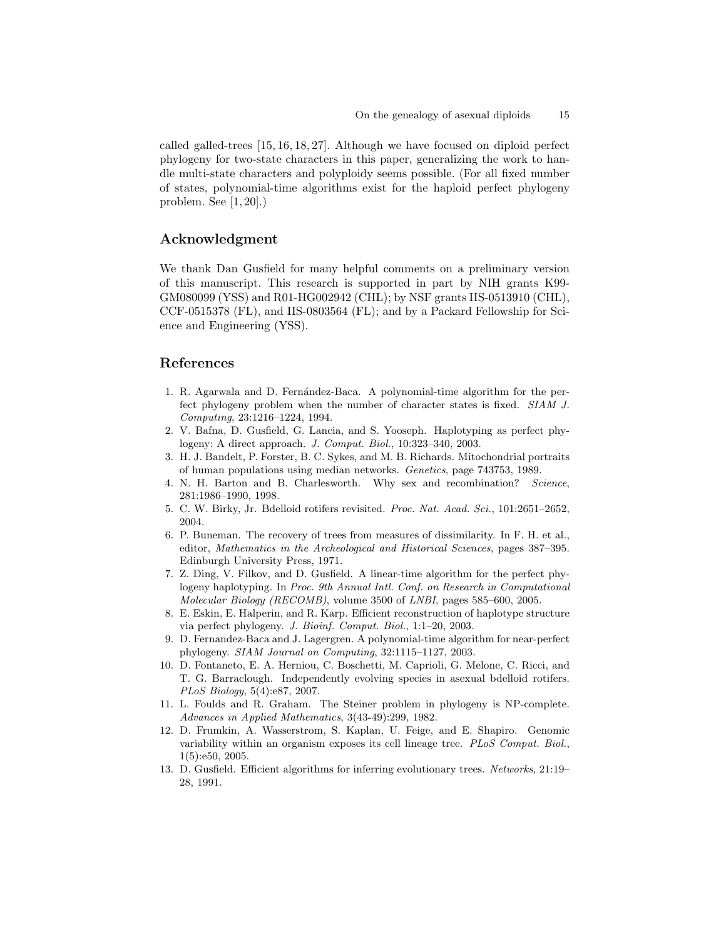called galled-trees [15, 16, 18, 27]. Although we have focused on diploid perfect phylogeny for two-state characters in this paper, generalizing the work to handle multi-state characters and polyploidy seems possible. (For all fixed number of states, polynomial-time algorithms exist for the haploid perfect phylogeny problem. See [1, 20].)

### Acknowledgment

We thank Dan Gusfield for many helpful comments on a preliminary version of this manuscript. This research is supported in part by NIH grants K99- GM080099 (YSS) and R01-HG002942 (CHL); by NSF grants IIS-0513910 (CHL), CCF-0515378 (FL), and IIS-0803564 (FL); and by a Packard Fellowship for Science and Engineering (YSS).

### References

- 1. R. Agarwala and D. Fernández-Baca. A polynomial-time algorithm for the perfect phylogeny problem when the number of character states is fixed. SIAM J. Computing, 23:1216–1224, 1994.
- 2. V. Bafna, D. Gusfield, G. Lancia, and S. Yooseph. Haplotyping as perfect phylogeny: A direct approach. J. Comput. Biol., 10:323–340, 2003.
- 3. H. J. Bandelt, P. Forster, B. C. Sykes, and M. B. Richards. Mitochondrial portraits of human populations using median networks. Genetics, page 743753, 1989.
- 4. N. H. Barton and B. Charlesworth. Why sex and recombination? Science, 281:1986–1990, 1998.
- 5. C. W. Birky, Jr. Bdelloid rotifers revisited. Proc. Nat. Acad. Sci., 101:2651–2652, 2004.
- 6. P. Buneman. The recovery of trees from measures of dissimilarity. In F. H. et al., editor, Mathematics in the Archeological and Historical Sciences, pages 387–395. Edinburgh University Press, 1971.
- 7. Z. Ding, V. Filkov, and D. Gusfield. A linear-time algorithm for the perfect phylogeny haplotyping. In Proc. 9th Annual Intl. Conf. on Research in Computational Molecular Biology (RECOMB), volume 3500 of LNBI, pages 585–600, 2005.
- 8. E. Eskin, E. Halperin, and R. Karp. Efficient reconstruction of haplotype structure via perfect phylogeny. J. Bioinf. Comput. Biol., 1:1–20, 2003.
- 9. D. Fernandez-Baca and J. Lagergren. A polynomial-time algorithm for near-perfect phylogeny. SIAM Journal on Computing, 32:1115–1127, 2003.
- 10. D. Fontaneto, E. A. Herniou, C. Boschetti, M. Caprioli, G. Melone, C. Ricci, and T. G. Barraclough. Independently evolving species in asexual bdelloid rotifers. PLoS Biology, 5(4):e87, 2007.
- 11. L. Foulds and R. Graham. The Steiner problem in phylogeny is NP-complete. Advances in Applied Mathematics, 3(43-49):299, 1982.
- 12. D. Frumkin, A. Wasserstrom, S. Kaplan, U. Feige, and E. Shapiro. Genomic variability within an organism exposes its cell lineage tree. PLoS Comput. Biol., 1(5):e50, 2005.
- 13. D. Gusfield. Efficient algorithms for inferring evolutionary trees. Networks, 21:19– 28, 1991.